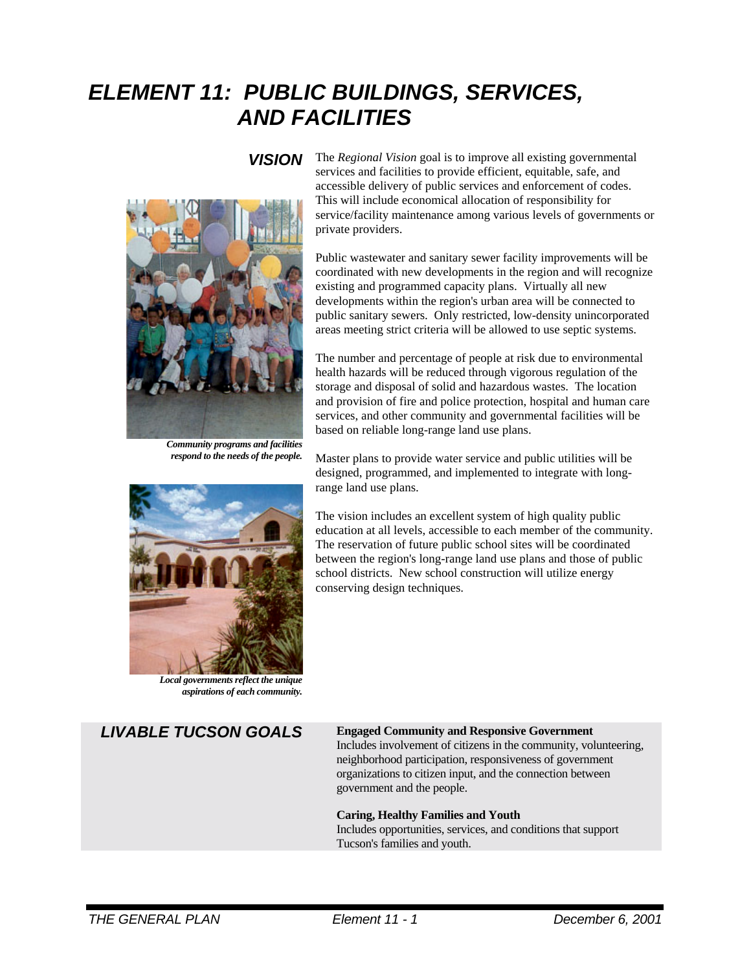# *ELEMENT 11: PUBLIC BUILDINGS, SERVICES, AND FACILITIES*



*Community programs and facilities respond to the needs of the people.*



*Local governments reflect the unique aspirations of each community.*

### *VISION* The *Regional Vision* goal is to improve all existing governmental services and facilities to provide efficient, equitable, safe, and accessible delivery of public services and enforcement of codes. This will include economical allocation of responsibility for service/facility maintenance among various levels of governments or private providers.

Public wastewater and sanitary sewer facility improvements will be coordinated with new developments in the region and will recognize existing and programmed capacity plans. Virtually all new developments within the region's urban area will be connected to public sanitary sewers. Only restricted, low-density unincorporated areas meeting strict criteria will be allowed to use septic systems.

The number and percentage of people at risk due to environmental health hazards will be reduced through vigorous regulation of the storage and disposal of solid and hazardous wastes. The location and provision of fire and police protection, hospital and human care services, and other community and governmental facilities will be based on reliable long-range land use plans.

Master plans to provide water service and public utilities will be designed, programmed, and implemented to integrate with longrange land use plans.

The vision includes an excellent system of high quality public education at all levels, accessible to each member of the community. The reservation of future public school sites will be coordinated between the region's long-range land use plans and those of public school districts. New school construction will utilize energy conserving design techniques.

### *LIVABLE TUCSON GOALS* **Engaged Community and Responsive Government**

Includes involvement of citizens in the community, volunteering, neighborhood participation, responsiveness of government organizations to citizen input, and the connection between government and the people.

### **Caring, Healthy Families and Youth**

Includes opportunities, services, and conditions that support Tucson's families and youth.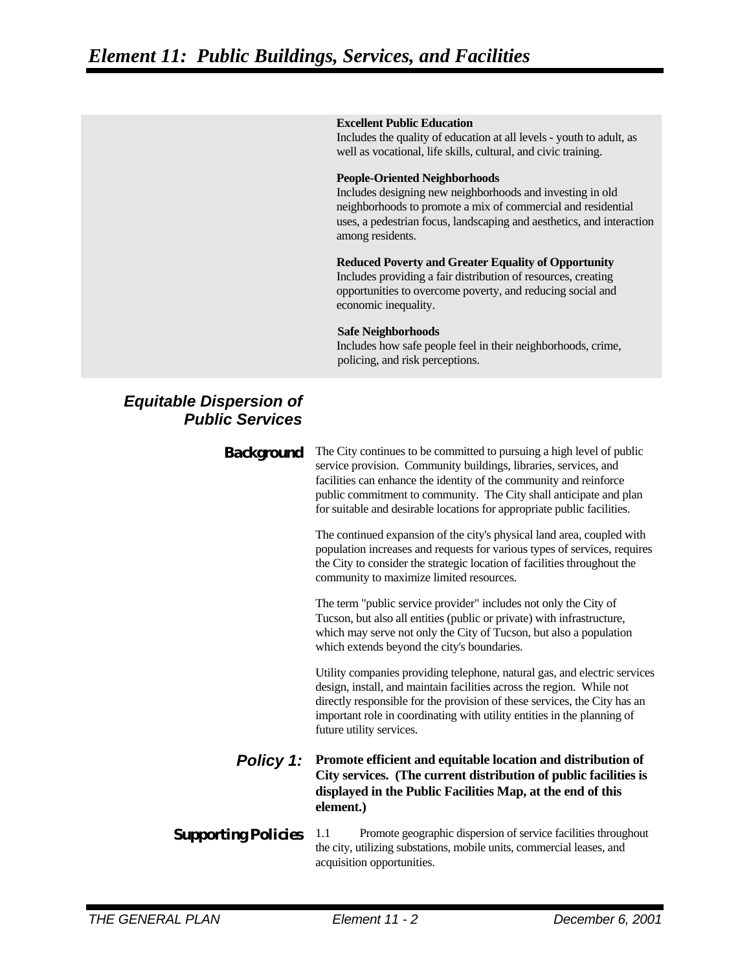#### **Excellent Public Education**

Includes the quality of education at all levels - youth to adult, as well as vocational, life skills, cultural, and civic training.

#### **People-Oriented Neighborhoods**

Includes designing new neighborhoods and investing in old neighborhoods to promote a mix of commercial and residential uses, a pedestrian focus, landscaping and aesthetics, and interaction among residents.

### **Reduced Poverty and Greater Equality of Opportunity**

Includes providing a fair distribution of resources, creating opportunities to overcome poverty, and reducing social and economic inequality.

#### **Safe Neighborhoods**

Includes how safe people feel in their neighborhoods, crime, policing, and risk perceptions.

## *Equitable Dispersion of Public Services*

| <b>Background</b>          | The City continues to be committed to pursuing a high level of public<br>service provision. Community buildings, libraries, services, and<br>facilities can enhance the identity of the community and reinforce<br>public commitment to community. The City shall anticipate and plan<br>for suitable and desirable locations for appropriate public facilities. |
|----------------------------|------------------------------------------------------------------------------------------------------------------------------------------------------------------------------------------------------------------------------------------------------------------------------------------------------------------------------------------------------------------|
|                            | The continued expansion of the city's physical land area, coupled with<br>population increases and requests for various types of services, requires<br>the City to consider the strategic location of facilities throughout the<br>community to maximize limited resources.                                                                                      |
|                            | The term "public service provider" includes not only the City of<br>Tucson, but also all entities (public or private) with infrastructure,<br>which may serve not only the City of Tucson, but also a population<br>which extends beyond the city's boundaries.                                                                                                  |
|                            | Utility companies providing telephone, natural gas, and electric services<br>design, install, and maintain facilities across the region. While not<br>directly responsible for the provision of these services, the City has an<br>important role in coordinating with utility entities in the planning of<br>future utility services.                           |
| <b>Policy 1:</b>           | Promote efficient and equitable location and distribution of<br>City services. (The current distribution of public facilities is<br>displayed in the Public Facilities Map, at the end of this<br>element.)                                                                                                                                                      |
| <b>Supporting Policies</b> | Promote geographic dispersion of service facilities throughout<br>1.1<br>the city, utilizing substations, mobile units, commercial leases, and<br>acquisition opportunities.                                                                                                                                                                                     |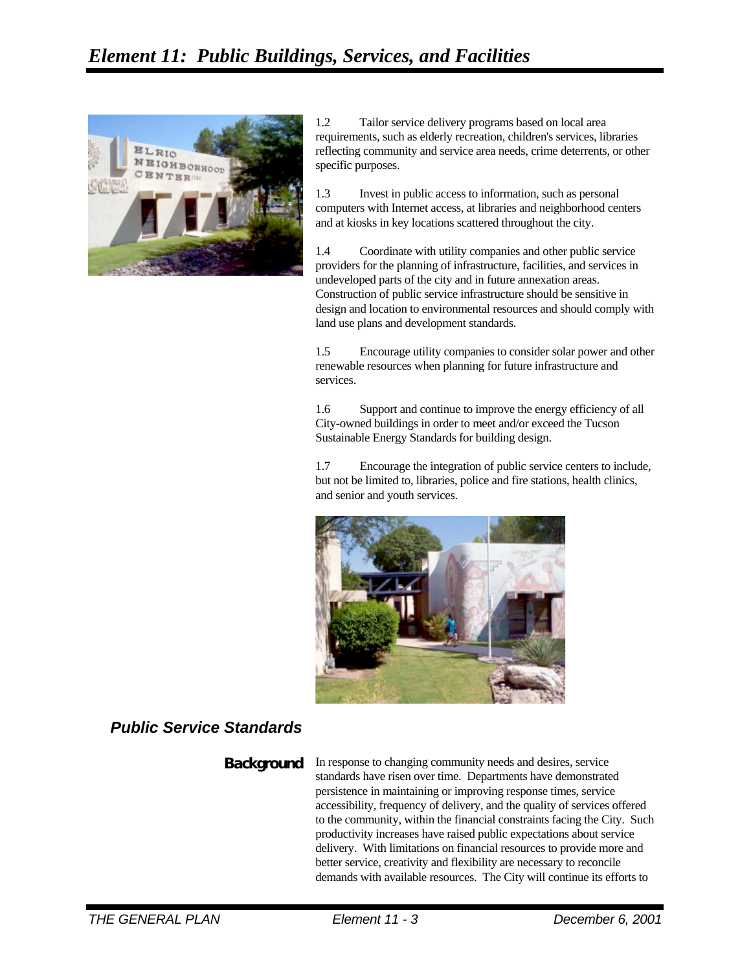

1.2 Tailor service delivery programs based on local area requirements, such as elderly recreation, children's services, libraries reflecting community and service area needs, crime deterrents, or other specific purposes.

1.3 Invest in public access to information, such as personal computers with Internet access, at libraries and neighborhood centers and at kiosks in key locations scattered throughout the city.

1.4 Coordinate with utility companies and other public service providers for the planning of infrastructure, facilities, and services in undeveloped parts of the city and in future annexation areas. Construction of public service infrastructure should be sensitive in design and location to environmental resources and should comply with land use plans and development standards.

1.5 Encourage utility companies to consider solar power and other renewable resources when planning for future infrastructure and services.

1.6 Support and continue to improve the energy efficiency of all City-owned buildings in order to meet and/or exceed the Tucson Sustainable Energy Standards for building design.

1.7 Encourage the integration of public service centers to include, but not be limited to, libraries, police and fire stations, health clinics, and senior and youth services.



## *Public Service Standards*

**Background** In response to changing community needs and desires, service standards have risen over time. Departments have demonstrated persistence in maintaining or improving response times, service accessibility, frequency of delivery, and the quality of services offered to the community, within the financial constraints facing the City. Such productivity increases have raised public expectations about service delivery. With limitations on financial resources to provide more and better service, creativity and flexibility are necessary to reconcile demands with available resources. The City will continue its efforts to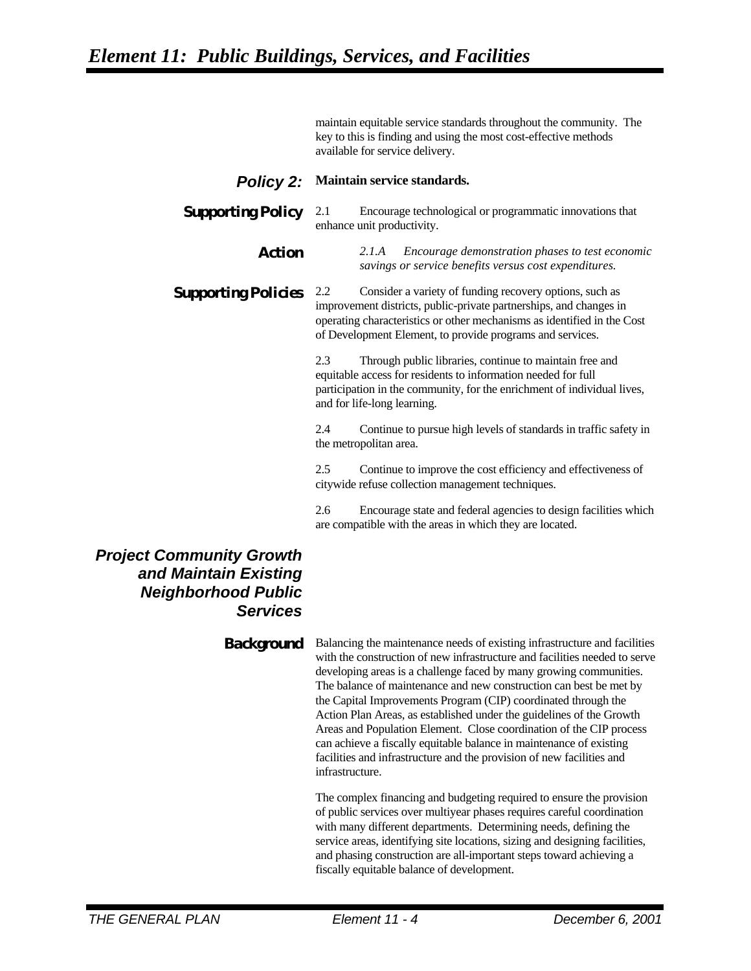maintain equitable service standards throughout the community. The key to this is finding and using the most cost-effective methods available for service delivery.

*Policy 2:* **Maintain service standards.**

### **Supporting Policy** 2.1 Encourage technological or programmatic innovations that enhance unit productivity.

*Action 2.1.A Encourage demonstration phases to test economic savings or service benefits versus cost expenditures.*

#### **Supporting Policies** 2.2 Consider a variety of funding recovery options, such as improvement districts, public-private partnerships, and changes in operating characteristics or other mechanisms as identified in the Cost of Development Element, to provide programs and services.

2.3 Through public libraries, continue to maintain free and equitable access for residents to information needed for full participation in the community, for the enrichment of individual lives, and for life-long learning.

2.4 Continue to pursue high levels of standards in traffic safety in the metropolitan area.

2.5 Continue to improve the cost efficiency and effectiveness of citywide refuse collection management techniques.

2.6 Encourage state and federal agencies to design facilities which are compatible with the areas in which they are located.

## *Project Community Growth and Maintain Existing Neighborhood Public Services*

**Background** Balancing the maintenance needs of existing infrastructure and facilities with the construction of new infrastructure and facilities needed to serve developing areas is a challenge faced by many growing communities. The balance of maintenance and new construction can best be met by the Capital Improvements Program (CIP) coordinated through the Action Plan Areas, as established under the guidelines of the Growth Areas and Population Element. Close coordination of the CIP process can achieve a fiscally equitable balance in maintenance of existing facilities and infrastructure and the provision of new facilities and infrastructure.

> The complex financing and budgeting required to ensure the provision of public services over multiyear phases requires careful coordination with many different departments. Determining needs, defining the service areas, identifying site locations, sizing and designing facilities, and phasing construction are all-important steps toward achieving a fiscally equitable balance of development.